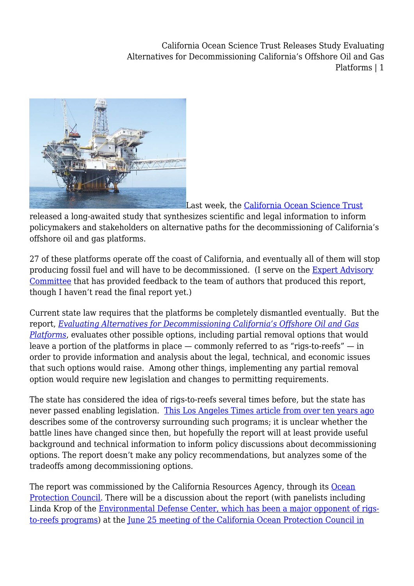California Ocean Science Trust Releases Study Evaluating Alternatives for Decommissioning California's Offshore Oil and Gas Platforms | 1



[L](http://legalplanet.wpengine.com/wp-content/uploads/2010/06/oil_rig_california_offshore_calm_sea1.jpg)ast week, the [California Ocean Science Trust](http://www.calost.org/index.html)

released a long-awaited study that synthesizes scientific and legal information to inform policymakers and stakeholders on alternative paths for the decommissioning of California's offshore oil and gas platforms.

27 of these platforms operate off the coast of California, and eventually all of them will stop producing fossil fuel and will have to be decommissioned. (I serve on the [Expert Advisory](http://www.calost.org/reports/Advisory_Committee_Scope2.pdf) [Committee](http://www.calost.org/reports/Advisory_Committee_Scope2.pdf) that has provided feedback to the team of authors that produced this report, though I haven't read the final report yet.)

Current state law requires that the platforms be completely dismantled eventually. But the report, *[Evaluating Alternatives for Decommissioning California's Offshore Oil and Gas](http://www.calost.org/Oil_gas.html) [Platforms](http://www.calost.org/Oil_gas.html)*, evaluates other possible options, including partial removal options that would leave a portion of the platforms in place  $-$  commonly referred to as "rigs-to-reefs"  $-$  in order to provide information and analysis about the legal, technical, and economic issues that such options would raise. Among other things, implementing any partial removal option would require new legislation and changes to permitting requirements.

The state has considered the idea of rigs-to-reefs several times before, but the state has never passed enabling legislation. [This Los Angeles Times article from over ten years ago](http://articles.latimes.com/1999/jun/20/news/mn-48471) describes some of the controversy surrounding such programs; it is unclear whether the battle lines have changed since then, but hopefully the report will at least provide useful background and technical information to inform policy discussions about decommissioning options. The report doesn't make any policy recommendations, but analyzes some of the tradeoffs among decommissioning options.

The report was commissioned by the California Resources Agency, through its [Ocean](http://www.opc.ca.gov/) [Protection Council.](http://www.opc.ca.gov/) There will be a discussion about the report (with panelists including Linda Krop of the [Environmental Defense Center, which has been a major opponent of rigs](http://www.edcnet.org/learn/current_cases/offshore_oil/rigs_to_reefs/index.html)[to-reefs programs\)](http://www.edcnet.org/learn/current_cases/offshore_oil/rigs_to_reefs/index.html) at the [June 25 meeting of the California Ocean Protection Council in](http://www.opc.ca.gov/2010/06/opc-meeting-june-24-25-2010/)